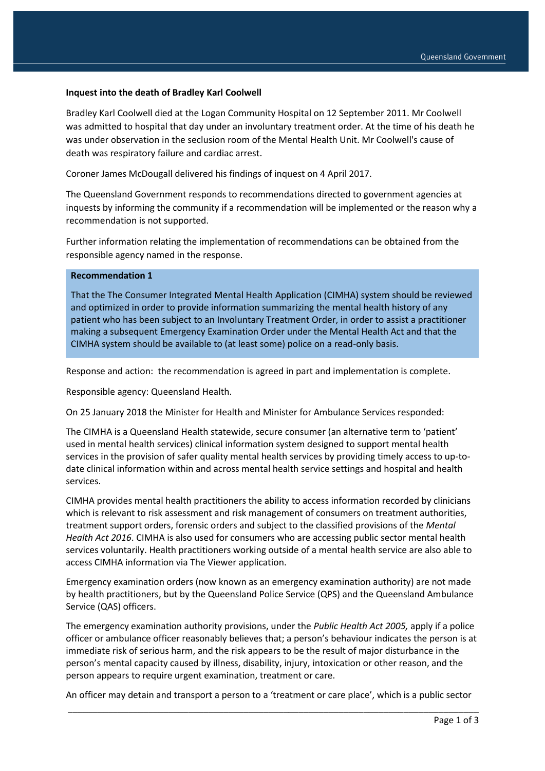## **Inquest into the death of Bradley Karl Coolwell**

Bradley Karl Coolwell died at the Logan Community Hospital on 12 September 2011. Mr Coolwell was admitted to hospital that day under an involuntary treatment order. At the time of his death he was under observation in the seclusion room of the Mental Health Unit. Mr Coolwell's cause of death was respiratory failure and cardiac arrest.

Coroner James McDougall delivered his findings of inquest on 4 April 2017.

The Queensland Government responds to recommendations directed to government agencies at inquests by informing the community if a recommendation will be implemented or the reason why a recommendation is not supported.

Further information relating the implementation of recommendations can be obtained from the responsible agency named in the response.

## **Recommendation 1**

That the The Consumer Integrated Mental Health Application (CIMHA) system should be reviewed and optimized in order to provide information summarizing the mental health history of any patient who has been subject to an Involuntary Treatment Order, in order to assist a practitioner making a subsequent Emergency Examination Order under the Mental Health Act and that the CIMHA system should be available to (at least some) police on a read-only basis.

Response and action: the recommendation is agreed in part and implementation is complete.

Responsible agency: Queensland Health.

On 25 January 2018 the Minister for Health and Minister for Ambulance Services responded:

The CIMHA is a Queensland Health statewide, secure consumer (an alternative term to 'patient' used in mental health services) clinical information system designed to support mental health services in the provision of safer quality mental health services by providing timely access to up-todate clinical information within and across mental health service settings and hospital and health services.

CIMHA provides mental health practitioners the ability to access information recorded by clinicians which is relevant to risk assessment and risk management of consumers on treatment authorities, treatment support orders, forensic orders and subject to the classified provisions of the *Mental Health Act 2016*. CIMHA is also used for consumers who are accessing public sector mental health services voluntarily. Health practitioners working outside of a mental health service are also able to access CIMHA information via The Viewer application.

Emergency examination orders (now known as an emergency examination authority) are not made by health practitioners, but by the Queensland Police Service (QPS) and the Queensland Ambulance Service (QAS) officers.

The emergency examination authority provisions, under the *Public Health Act 2005,* apply if a police officer or ambulance officer reasonably believes that; a person's behaviour indicates the person is at immediate risk of serious harm, and the risk appears to be the result of major disturbance in the person's mental capacity caused by illness, disability, injury, intoxication or other reason, and the person appears to require urgent examination, treatment or care.

\_\_\_\_\_\_\_\_\_\_\_\_\_\_\_\_\_\_\_\_\_\_\_\_\_\_\_\_\_\_\_\_\_\_\_\_\_\_\_\_\_\_\_\_\_\_\_\_\_\_\_\_\_\_\_\_\_\_\_\_\_\_\_\_\_\_\_\_\_\_\_\_\_\_\_\_\_\_\_\_\_\_ An officer may detain and transport a person to a 'treatment or care place', which is a public sector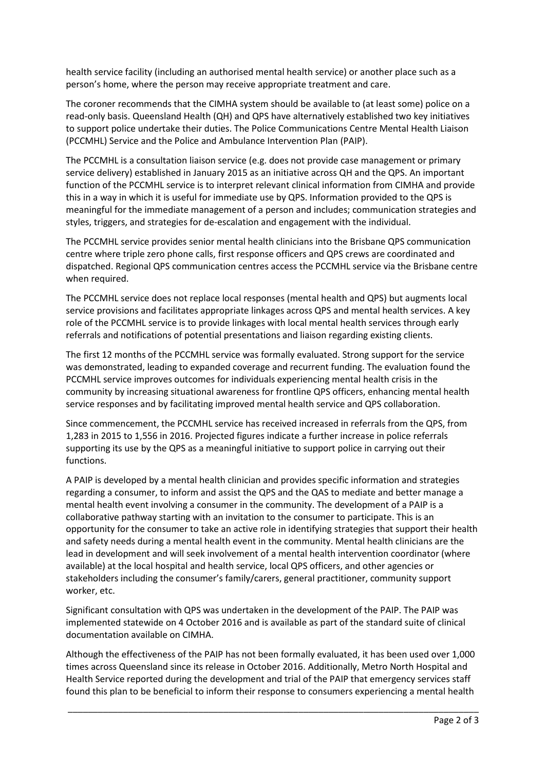health service facility (including an authorised mental health service) or another place such as a person's home, where the person may receive appropriate treatment and care.

The coroner recommends that the CIMHA system should be available to (at least some) police on a read-only basis. Queensland Health (QH) and QPS have alternatively established two key initiatives to support police undertake their duties. The Police Communications Centre Mental Health Liaison (PCCMHL) Service and the Police and Ambulance Intervention Plan (PAIP).

The PCCMHL is a consultation liaison service (e.g. does not provide case management or primary service delivery) established in January 2015 as an initiative across QH and the QPS. An important function of the PCCMHL service is to interpret relevant clinical information from CIMHA and provide this in a way in which it is useful for immediate use by QPS. Information provided to the QPS is meaningful for the immediate management of a person and includes; communication strategies and styles, triggers, and strategies for de-escalation and engagement with the individual.

The PCCMHL service provides senior mental health clinicians into the Brisbane QPS communication centre where triple zero phone calls, first response officers and QPS crews are coordinated and dispatched. Regional QPS communication centres access the PCCMHL service via the Brisbane centre when required.

The PCCMHL service does not replace local responses (mental health and QPS) but augments local service provisions and facilitates appropriate linkages across QPS and mental health services. A key role of the PCCMHL service is to provide linkages with local mental health services through early referrals and notifications of potential presentations and liaison regarding existing clients.

The first 12 months of the PCCMHL service was formally evaluated. Strong support for the service was demonstrated, leading to expanded coverage and recurrent funding. The evaluation found the PCCMHL service improves outcomes for individuals experiencing mental health crisis in the community by increasing situational awareness for frontline QPS officers, enhancing mental health service responses and by facilitating improved mental health service and QPS collaboration.

Since commencement, the PCCMHL service has received increased in referrals from the QPS, from 1,283 in 2015 to 1,556 in 2016. Projected figures indicate a further increase in police referrals supporting its use by the QPS as a meaningful initiative to support police in carrying out their functions.

A PAIP is developed by a mental health clinician and provides specific information and strategies regarding a consumer, to inform and assist the QPS and the QAS to mediate and better manage a mental health event involving a consumer in the community. The development of a PAIP is a collaborative pathway starting with an invitation to the consumer to participate. This is an opportunity for the consumer to take an active role in identifying strategies that support their health and safety needs during a mental health event in the community. Mental health clinicians are the lead in development and will seek involvement of a mental health intervention coordinator (where available) at the local hospital and health service, local QPS officers, and other agencies or stakeholders including the consumer's family/carers, general practitioner, community support worker, etc.

Significant consultation with QPS was undertaken in the development of the PAIP. The PAIP was implemented statewide on 4 October 2016 and is available as part of the standard suite of clinical documentation available on CIMHA.

Although the effectiveness of the PAIP has not been formally evaluated, it has been used over 1,000 times across Queensland since its release in October 2016. Additionally, Metro North Hospital and Health Service reported during the development and trial of the PAIP that emergency services staff found this plan to be beneficial to inform their response to consumers experiencing a mental health

\_\_\_\_\_\_\_\_\_\_\_\_\_\_\_\_\_\_\_\_\_\_\_\_\_\_\_\_\_\_\_\_\_\_\_\_\_\_\_\_\_\_\_\_\_\_\_\_\_\_\_\_\_\_\_\_\_\_\_\_\_\_\_\_\_\_\_\_\_\_\_\_\_\_\_\_\_\_\_\_\_\_